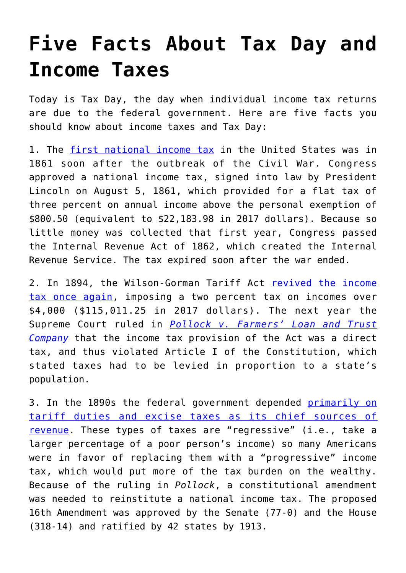## **[Five Facts About Tax Day and](https://intellectualtakeout.org/2019/04/five-facts-about-tax-day-and-income-taxes/) [Income Taxes](https://intellectualtakeout.org/2019/04/five-facts-about-tax-day-and-income-taxes/)**

Today is Tax Day, the day when individual income tax returns are due to the federal government. Here are five facts you should know about income taxes and Tax Day:

1. The [first national income tax](https://udel.edu/~pollack/Downloaded%20SDP%20articles,%20etc/academic%20articles/The%20First%20National%20Income%20Tax%2012-18-2013.pdf) in the United States was in 1861 soon after the outbreak of the Civil War. Congress approved a national income tax, signed into law by President Lincoln on August 5, 1861, which provided for a flat tax of three percent on annual income above the personal exemption of \$800.50 (equivalent to \$22,183.98 in 2017 dollars). Because so little money was collected that first year, Congress passed the Internal Revenue Act of 1862, which created the Internal Revenue Service. The tax expired soon after the war ended.

2. In 1894, the Wilson-Gorman Tariff Act [revived the income](http://www.businessinsider.com/the-income-tax-started-as-a-conservative-political-stunt-2015-2) [tax once again](http://www.businessinsider.com/the-income-tax-started-as-a-conservative-political-stunt-2015-2), imposing a two percent tax on incomes over \$4,000 (\$115,011.25 in 2017 dollars). The next year the Supreme Court ruled in *[Pollock v. Farmers' Loan and Trust](https://www.law.cornell.edu/supremecourt/text/157/429) [Company](https://www.law.cornell.edu/supremecourt/text/157/429)* that the income tax provision of the Act was a direct tax, and thus violated Article I of the Constitution, which stated taxes had to be levied in proportion to a state's population.

3. In the 1890s the federal government depended [primarily on](http://www.crf-usa.org/bill-of-rights-in-action/bria-11-3-b-the-income-tax-amendment-most-thought-it-was-a-great-idea-in-1913.html) [tariff duties and excise taxes as its chief sources of](http://www.crf-usa.org/bill-of-rights-in-action/bria-11-3-b-the-income-tax-amendment-most-thought-it-was-a-great-idea-in-1913.html) [revenue](http://www.crf-usa.org/bill-of-rights-in-action/bria-11-3-b-the-income-tax-amendment-most-thought-it-was-a-great-idea-in-1913.html). These types of taxes are "regressive" (i.e., take a larger percentage of a poor person's income) so many Americans were in favor of replacing them with a "progressive" income tax, which would put more of the tax burden on the wealthy. Because of the ruling in *Pollock*, a constitutional amendment was needed to reinstitute a national income tax. The proposed 16th Amendment was approved by the Senate (77-0) and the House (318-14) and ratified by 42 states by 1913.